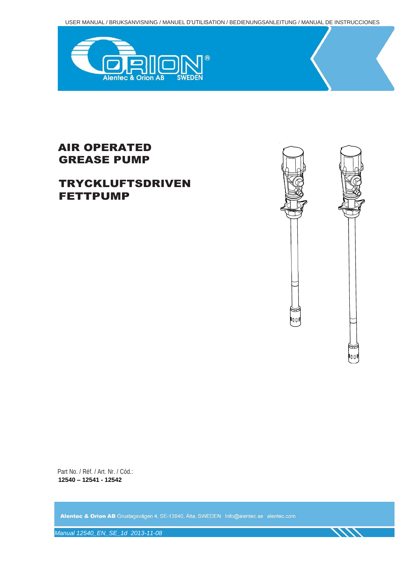USER MANUAL / BRUKSANVISNING / MANUEL D'UTILISATION / BEDIENUNGSANLEITUNG / MANUAL DE INSTRUCCIONES



## AIR OPERATED GREASE PUMP

## TRYCKLUFTSDRIVEN FETTPUMP



111

Part No. / Réf. / Art. Nr. / Cód.: **12540 – 12541 - 12542**

Alentec & Orion AB Grustagsvägen 4, SE-13840, Älta, SWEDEN · Info@alentec.se · alentec.com

*Manual 12540\_EN\_SE\_1d 2013-11-08*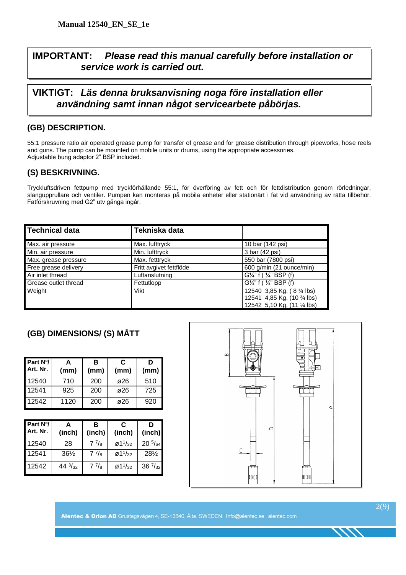## **IMPORTANT:** *Please read this manual carefully before installation or service work is carried out.*

#### **VIKTIGT:** *Läs denna bruksanvisning noga före installation eller användning samt innan något servicearbete påbörjas.*

#### **(GB) DESCRIPTION.**

55:1 pressure ratio air operated grease pump for transfer of grease and for grease distribution through pipeworks, hose reels and guns. The pump can be mounted on mobile units or drums, using the appropriate accessories. Adjustable bung adaptor 2" BSP included.

#### **(S) BESKRIVNING.**

Tryckluftsdriven fettpump med tryckförhållande 55:1, för överföring av fett och för fettdistribution genom rörledningar, slangupprullare och ventiler. Pumpen kan monteras på mobila enheter eller stationärt i fat vid användning av rätta tillbehör. Fatförskruvning med G2" utv gänga ingår.

| Technical data       | Tekniska data           |                                      |
|----------------------|-------------------------|--------------------------------------|
| Max. air pressure    | Max. lufttryck          | 10 bar (142 psi)                     |
| Min. air pressure    | Min. lufttryck          | 3 bar (42 psi)                       |
| Max. grease pressure | Max. fetttryck          | 550 bar (7800 psi)                   |
| Free grease delivery | Fritt avgivet fettflöde | 600 g/min (21 ounce/min)             |
| Air inlet thread     | Luftanslutning          | $G'/4$ " f ( $\frac{1}{4}$ " BSP (f) |
| Grease outlet thread | Fettutlopp              | $G'/4$ " f ( $\frac{7}{4}$ " BSP (f) |
| Weight               | Vikt                    | 12540 3,85 Kg. (8 1/4 lbs)           |
|                      |                         | 12541 4,85 Kg. (10 3/4 lbs)          |
|                      |                         | 12542 5,10 Kg. (11 1/4 lbs)          |

#### **(GB) DIMENSIONS/ (S) MÅTT**

| Part N%<br>Art. Nr. | А<br>(mm) | в<br>(mm) | C<br>(mm) | D<br>(mm) |
|---------------------|-----------|-----------|-----------|-----------|
| 12540               | 710       | 200       | ø26       | 510       |
| 12541               | 925       | 200       | ø26       | 725       |
| 12542               | 1120      | 200       | ø26       | 920       |

| Part N <sup>o</sup> /<br>Art. Nr. | (inch)           | в<br>(inch) | C<br>(inch)                                  | D<br>(inch)      |
|-----------------------------------|------------------|-------------|----------------------------------------------|------------------|
| 12540                             | 28               | $7^{7}/_8$  | $\varnothing$ 11/32                          | $20\frac{5}{64}$ |
| 12541                             | $36\frac{1}{2}$  | $7^{7}/_8$  | $\varnothing$ 1 <sup>1</sup> / <sub>32</sub> | 281/2            |
| 12542                             | $44\frac{3}{32}$ | $7^{7}/_8$  | $\varnothing$ 1 <sup>1</sup> / <sub>32</sub> | $36\frac{7}{32}$ |

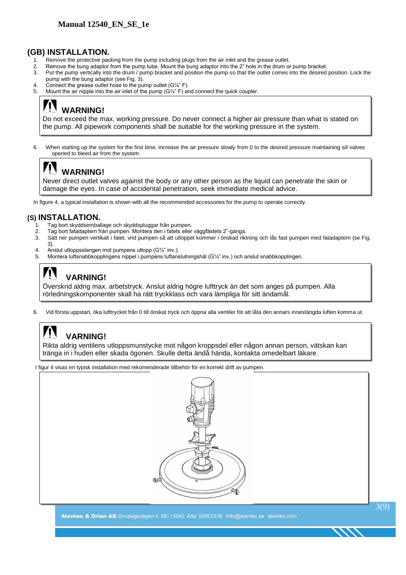#### **(GB) INSTALLATION.**

- 1. Remove the protective packing from the pump including plugs from the air inlet and the grease outlet.
- 2. Remove the bung adaptor from the pump tube. Mount the bung adaptor into the 2" hole in the drum or pump bracket.
- 3. Put the pump vertically into the drum / pump bracket and position the pump so that the outlet comes into the desired position. Lock the pump with the bung adaptor (see Fig. 3).
- 4. Connect the grease outlet hose to the pump outlet (G1/4" F).
- 5. Mount the air nipple into the air inlet of the pump (G¼" F) and connect the quick coupler.

## **WARNING!**

Do not exceed the max. working pressure. Do never connect a higher air pressure than what is stated on the pump. All pipework components shall be suitable for the working pressure in the system.

6. When starting up the system for the first time, increase the air pressure slowly from 0 to the desired pressure maintaining all valves opened to bleed air from the system.

## **WARNING!**

Never direct outlet valves against the body or any other person as the liquid can penetrate the skin or damage the eyes. In case of accidental penetration, seek immediate medical advice.

In figure 4, a typical installation is shown with all the recommended accessories for the pump to operate correctly.

#### **(S) INSTALLATION.**

- 1. Tag bort skyddsemballage och skyddspluggar från pumpen.
- 2. Tag bort fatadaptern från pumpen. Montera den i fatets eller väggfästets 2"-gänga.
- 3. Sätt ner pumpen vertikalt i fatet, vrid pumpen så att utloppet kommer i önskad riktning och lås fast pumpen med fatadaptern (se Fig.
- 3). 4. Anslut utloppsslangen mot pumpens utlopp  $(G/\mathcal{A})$ " inv.).
- 5. Montera luftsnabbkopplingens nippel i pumpens luftanslutningshål (G¼" inv.) och anslut snabbkopplingen.

## **VARNING!**

Överskrid aldrig max. arbetstryck. Anslut aldrig högre lufttryck än det som anges på pumpen. Alla rörledningskomponenter skall ha rätt tryckklass och vara lämpliga för sitt ändamål.

6. Vid första uppstart, öka lufttrycket från 0 till önskat tryck och öppna alla ventiler för att låta den annars innestängda luften komma ut.

## **VARNING!**

Rikta aldrig ventilens utloppsmunstycke mot någon kroppsdel eller någon annan person, vätskan kan tränga in i huden eller skada ögonen. Skulle detta ändå hända, kontakta omedelbart läkare.

I figur 4 visas en typisk installation med rekomenderade tillbehör för en korrekt drift av pumpen.



Alentec & Orion AB Grustagsvägen 4, SE-13840, Älta, SWEDEN · Info@alentec.se · alentec.com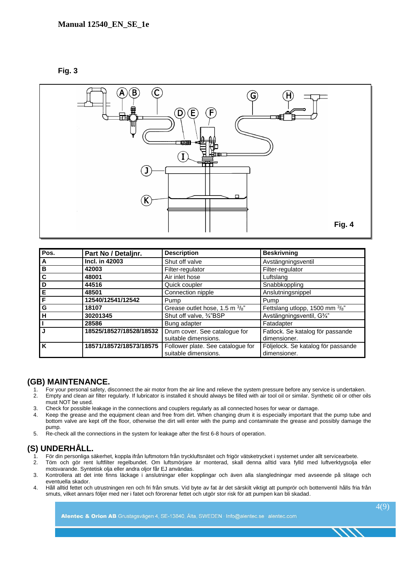**Fig. 3**



| Pos.                    | Part No / Detaljnr.     | <b>Description</b>                                        | <b>Beskrivning</b>                                 |
|-------------------------|-------------------------|-----------------------------------------------------------|----------------------------------------------------|
| $\overline{A}$          | Incl. in 42003          | Shut off valve                                            | Avstängningsventil                                 |
| $rac{B}{C}$             | 42003                   | Filter-regulator                                          | Filter-regulator                                   |
|                         | 48001                   | Air inlet hose                                            | Luftslang                                          |
| D                       | 44516                   | Quick coupler                                             | Snabbkoppling                                      |
| E                       | 48501                   | Connection nipple                                         | Anslutningsnippel                                  |
| F                       | 12540/12541/12542       | Pump                                                      | Pump                                               |
| $\overline{G}$          | 18107                   | Grease outlet hose, 1.5 m 3/8"                            | Fettslang utlopp, 1500 mm 3/8"                     |
| ĪН                      | 30201345                | Shut off valve, 3/4"BSP                                   | Avstängningsventil, G3/4"                          |
| Π                       | 28586                   | Bung adapter                                              | Fatadapter                                         |
| IJ                      | 18525/18527/18528/18532 | Drum cover. See catalogue for<br>suitable dimensions.     | Fatlock. Se katalog för passande<br>dimensioner.   |
| $\overline{\mathsf{K}}$ | 18571/18572/18573/18575 | Follower plate. See catalogue for<br>suitable dimensions. | Följelock. Se katalog för passande<br>dimensioner. |

#### **(GB) MAINTENANCE.**

- 1. For your personal safety, disconnect the air motor from the air line and relieve the system pressure before any service is undertaken. 2. Empty and clean air filter regularly. If lubricator is installed it should always be filled with air tool oil or similar. Synthetic oil or other oils
- must NOT be used. 3. Check for possible leakage in the connections and couplers regularly as all connected hoses for wear or damage.
- 4. Keep the grease and the equipment clean and free from dirt. When changing drum it is especially important that the pump tube and bottom valve are kept off the floor, otherwise the dirt will enter with the pump and contaminate the grease and possibly damage the pump.
- 5. Re-check all the connections in the system for leakage after the first 6-8 hours of operation.

#### **(S) UNDERHÅLL.**

- 1. För din personliga säkerhet, koppla ifrån luftmotorn från tryckluftsnätet och frigör vätsketrycket i systemet under allt servicearbete.<br>2. Töm och gör rent luftfilter regelbundet. Om luftsmöriare är monterad, skall denn
- 2. Töm och gör rent luftfilter regelbundet. Om luftsmörjare är monterad, skall denna alltid vara fylld med luftverktygsolja eller motsvarande. Syntetisk olja eller andra oljor får EJ användas.
- 3. Kontrollera att det inte finns läckage i anslutningar eller kopplingar och även alla slangledningar med avseende på slitage och eventuella skador.
- 4. Håll alltid fettet och utrustningen ren och fri från smuts. Vid byte av fat är det särskilt viktigt att pumprör och bottenventil hålls fria från smuts, vilket annars följer med ner i fatet och förorenar fettet och utgör stor risk för att pumpen kan bli skadad.

Alentec & Orion AB Grustagsvägen 4, SE-13840, Älta, SWEDEN · Info@alentec.se · alentec.com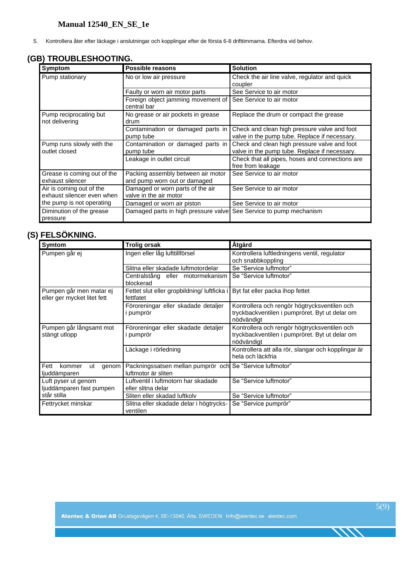5. Kontrollera åter efter läckage i anslutningar och kopplingar efter de första 6-8 drifttimmarna. Efterdra vid behov.

#### **(GB) TROUBLESHOOTING.**

| Symptom                                                | Possible reasons                                                   | <b>Solution</b>                                                                               |  |
|--------------------------------------------------------|--------------------------------------------------------------------|-----------------------------------------------------------------------------------------------|--|
| Pump stationary                                        | No or low air pressure                                             | Check the air line valve, regulator and quick<br>coupler                                      |  |
|                                                        | Faulty or worn air motor parts                                     | See Service to air motor                                                                      |  |
|                                                        | Foreign object jamming movement of<br>central bar                  | See Service to air motor                                                                      |  |
| Pump reciprocating but<br>not delivering               | No grease or air pockets in grease<br>drum                         | Replace the drum or compact the grease                                                        |  |
|                                                        | Contamination or damaged parts in<br>pump tube                     | Check and clean high pressure valve and foot<br>valve in the pump tube. Replace if necessary. |  |
| Pump runs slowly with the<br>outlet closed             | Contamination or damaged parts in<br>pump tube                     | Check and clean high pressure valve and foot<br>valve in the pump tube. Replace if necessary. |  |
|                                                        | Leakage in outlet circuit                                          | Check that all pipes, hoses and connections are<br>free from leakage                          |  |
| Grease is coming out of the<br>exhaust silencer        | Packing assembly between air motor<br>and pump worn out or damaged | See Service to air motor                                                                      |  |
| Air is coming out of the<br>exhaust silencer even when | Damaged or worn parts of the air<br>valve in the air motor         | See Service to air motor                                                                      |  |
| the pump is not operating                              | Damaged or worn air piston                                         | See Service to air motor                                                                      |  |
| Diminution of the grease<br>pressure                   | Damaged parts in high pressure valve                               | See Service to pump mechanism                                                                 |  |

## **(S) FELSÖKNING.**

| Symtom                                                 | <b>Trolig orsak</b>                                                              | Åtgärd                                                                                                       |  |
|--------------------------------------------------------|----------------------------------------------------------------------------------|--------------------------------------------------------------------------------------------------------------|--|
| Pumpen går ej                                          | Ingen eller låg lufttillförsel                                                   | Kontrollera luftledningens ventil, regulator<br>och snabbkoppling                                            |  |
|                                                        | Slitna eller skadade luftmotordelar                                              | Se "Service luftmotor"                                                                                       |  |
|                                                        | Centralstång eller motormekanism<br>blockerad                                    | Se "Service luftmotor"                                                                                       |  |
| Pumpen går men matar ej<br>eller ger mycket litet fett | Fettet slut eller gropbildning/ luftficka i<br>fettfatet                         | Byt fat eller packa ihop fettet                                                                              |  |
|                                                        | Föroreningar eller skadade detaljer<br>i pumprör                                 | Kontrollera och rengör högtrycksventilen och<br>tryckbackventilen i pumpröret. Byt ut delar om<br>nödvändigt |  |
| Pumpen går långsamt mot<br>stängt utlopp               | Föroreningar eller skadade detaljer<br>i pumprör                                 | Kontrollera och rengör högtrycksventilen och<br>tryckbackventilen i pumpröret. Byt ut delar om<br>nödvändigt |  |
|                                                        | Läckage i rörledning                                                             | Kontrollera att alla rör, slangar och kopplingar är<br>hela och läckfria                                     |  |
| Fett<br>kommer<br>genom<br>ut<br>ljuddämparen          | Packningssatsen mellan pumprör och Se "Service luftmotor"<br>luftmotor är sliten |                                                                                                              |  |
| Luft pyser ut genom<br>ljuddämparen fast pumpen        | Luftventil i luftmotorn har skadade<br>eller slitna delar                        | Se "Service luftmotor"                                                                                       |  |
| står stilla                                            | Sliten eller skadad luftkolv                                                     | Se "Service luftmotor"                                                                                       |  |
| Fettrycket minskar                                     | Slitna eller skadade delar i högtrycks-<br>ventilen                              | Se "Service pumprör"                                                                                         |  |

 $\frac{1}{2}$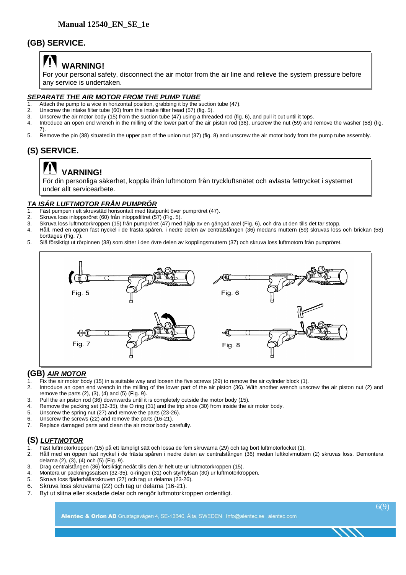#### **(GB) SERVICE.**

## **WARNING!**

For your personal safety, disconnect the air motor from the air line and relieve the system pressure before any service is undertaken.

#### *SEPARATE THE AIR MOTOR FROM THE PUMP TUBE*

- 1. Attach the pump to a vice in horizontal position, grabbing it by the suction tube (47).<br>2. Linscrew the intake filter tube (60) from the intake filter head (57) (fig. 5).
- Unscrew the intake filter tube (60) from the intake filter head (57) (fig. 5).
- 3. Unscrew the air motor body (15) from the suction tube (47) using a threaded rod (fig. 6), and pull it out until it tops.
- 4. Introduce an open end wrench in the milling of the lower part of the air piston rod (36), unscrew the nut (59) and remove the washer (58) (fig. 7).
- 5. Remove the pin (38) situated in the upper part of the union nut (37) (fig. 8) and unscrew the air motor body from the pump tube assembly.

### **(S) SERVICE.**

## **VARNING!**

För din personliga säkerhet, koppla ifrån luftmotorn från tryckluftsnätet och avlasta fettrycket i systemet under allt servicearbete.

#### *TA ISÄR LUFTMOTOR FRÅN PUMPRÖR*

- Fäst pumpen i ett skruvstäd horisontalt med fästpunkt över pumpröret (47).
- 2. Skruva loss inloppsröret (60) från inloppsfiltret (57) (Fig. 5).
- 3. Skruva loss luftmotorkroppen (15) från pumpröret (47) med hjälp av en gängad axel (Fig. 6), och dra ut den tills det tar stopp.
- 4. Håll, med en öppen fast nyckel i de frästa spåren, i nedre delen av centralstången (36) medans muttern (59) skruvas loss och brickan (58) borttages (Fig. 7).
- 5. Slå försiktigt ut rörpinnen (38) som sitter i den övre delen av kopplingsmuttern (37) och skruva loss luftmotorn från pumpröret.



#### **(GB)** *AIR MOTOR*

- 1. Fix the air motor body (15) in a suitable way and loosen the five screws (29) to remove the air cylinder block (1).
- 2. Introduce an open end wrench in the milling of the lower part of the air piston (36). With another wrench unscrew the air piston nut (2) and remove the parts (2), (3), (4) and (5) (Fig. 9).
- 3. Pull the air piston rod (36) downwards until it is completely outside the motor body (15).
- 4. Remove the packing set (32-35), the O ring (31) and the trip shoe (30) from inside the air motor body.<br>5. Unscrew the spring nut (27) and remove the parts (23-26).
- Unscrew the spring nut (27) and remove the parts (23-26).
- 6. Unscrew the screws (22) and remove the parts (16-21).
- 7. Replace damaged parts and clean the air motor body carefully.

#### **(S)** *LUFTMOTOR*

- 1. Fäst luftmotorkroppen (15) på ett lämpligt sätt och lossa de fem skruvarna (29) och tag bort luftmotorlocket (1).
- 2. Håll med en öppen fast nyckel i de frästa spåren i nedre delen av centralstången (36) medan luftkolvmuttern (2) skruvas loss. Demontera delarna (2), (3), (4) och (5) (Fig. 9).
- 3. Drag centralstången (36) försiktigt nedåt tills den är helt ute ur luftmotorkroppen (15).
- 4. Montera ur packningssatsen (32-35), o-ringen (31) och styrhylsan (30) ur luftmotorkroppen.
- 5. Skruva loss fjäderhållarskruven (27) och tag ur delarna (23-26).
- 6. Skruva loss skruvarna (22) och tag ur delarna (16-21).
- 7. Byt ut slitna eller skadade delar och rengör luftmotorkroppen ordentligt.

Alentec & Orion AB Grustagsvägen 4, SE-13840, Älta, SWEDEN · Info@alentec.se · alentec.com

6(9)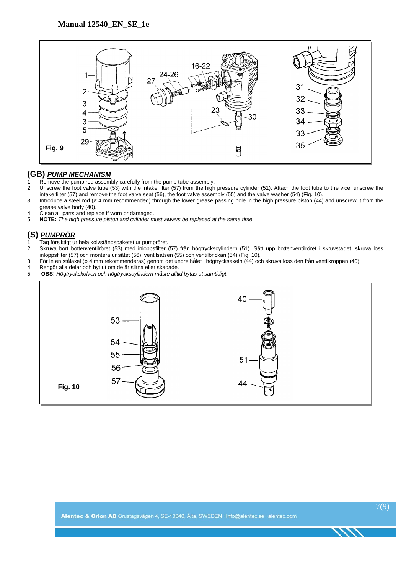

#### **(GB)** *PUMP MECHANISM*

- 1. Remove the pump rod assembly carefully from the pump tube assembly.<br>2. Unscrew the foot valve tube (53) with the intake filter (57) from the high
- 2. Unscrew the foot valve tube (53) with the intake filter (57) from the high pressure cylinder (51). Attach the foot tube to the vice, unscrew the intake filter (57) and remove the foot valve seat (56), the foot valve assembly (55) and the valve washer (54) (Fig. 10).
- 3. Introduce a steel rod (ø 4 mm recommended) through the lower grease passing hole in the high pressure piston (44) and unscrew it from the grease valve body (40).
- 4. Clean all parts and replace if worn or damaged.<br>5. **NOTE:** The high pressure piston and cylinder m
- 5. **NOTE:** *The high pressure piston and cylinder must always be replaced at the same time.*

#### **(S)** *PUMPRÖR*

- 1. Tag försiktigt ur hela kolvstångspaketet ur pumpröret.
- 2. Skruva bort bottenventilröret (53) med inloppsfilter (57) från högtryckscylindern (51). Sätt upp bottenventilröret i skruvstädet, skruva loss inloppsfilter (57) och montera ur sätet (56), ventilsatsen (55) och ventilbrickan (54) (Fig. 10).
- 3. För in en stålaxel (ø 4 mm rekommenderas) genom det undre hålet i högtrycksaxeln (44) och skruva loss den från ventilkroppen (40).
- 4. Rengör alla delar och byt ut om de är slitna eller skadade.<br>5. **OBS!** Högtryckskolven och högtryckscylindern måste allt
- 5. **OBS!** *Högtryckskolven och högtryckscylindern måste alltid bytas ut samtidigt.*

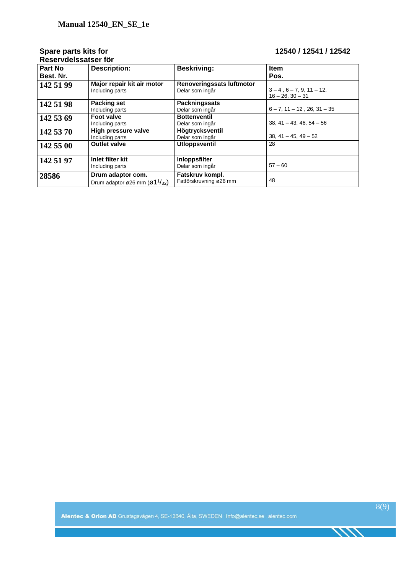# **Reservdelssatser för**

#### **Spare parts kits for 12540 / 12541 / 12542**

| Part No<br>Best. Nr. | <b>Description:</b>                                                                                    | <b>Beskriving:</b>                                  | <b>Item</b><br>Pos.                                         |
|----------------------|--------------------------------------------------------------------------------------------------------|-----------------------------------------------------|-------------------------------------------------------------|
| 142 51 99            | Major repair kit air motor<br>Including parts                                                          | <b>Renoveringssats luftmotor</b><br>Delar som ingår | $3 - 4$ , $6 - 7$ , 9, $11 - 12$ ,<br>$16 - 26$ , $30 - 31$ |
| 142 51 98            | <b>Packing set</b><br>Including parts                                                                  | <b>Packningssats</b><br>Delar som ingår             | $6 - 7$ , $11 - 12$ , $26$ , $31 - 35$                      |
| 142 53 69            | <b>Foot valve</b><br>Including parts                                                                   | <b>Bottenventil</b><br>Delar som ingår              | $38, 41 - 43, 46, 54 - 56$                                  |
| 142 53 70            | High pressure valve<br>Including parts                                                                 | Högtrycksventil<br>Delar som ingår                  | $38, 41 - 45, 49 - 52$                                      |
| 142 55 00            | <b>Outlet valve</b>                                                                                    | <b>Utloppsventil</b>                                | 28                                                          |
| 142 51 97            | Inlet filter kit<br>Including parts                                                                    | Inloppsfilter<br>Delar som ingår                    | $57 - 60$                                                   |
| 28586                | Drum adaptor com.<br>Drum adaptor $\varnothing$ 26 mm ( $\varnothing$ 1 <sup>1</sup> / <sub>32</sub> ) | Fatskruv kompl.<br>Fatförskruvning ø26 mm           | 48                                                          |

Alentec & Orion AB Grustagsvägen 4, SE-13840, Älta, SWEDEN · Info@alentec.se · alentec.com

 $\frac{1}{100}$